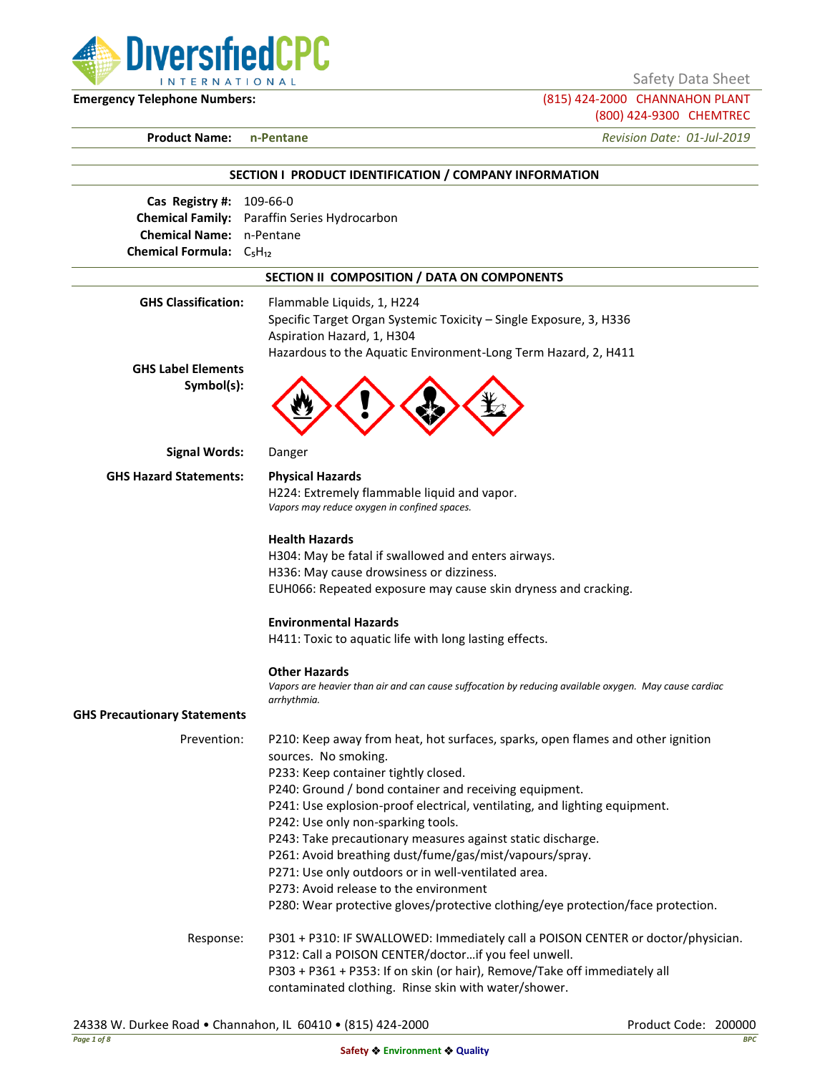DiversifiedCPC **INTERNATIONAL** 

Safety Data Sheet

**Emergency Telephone Numbers:** (815) 424-2000 CHANNAHON PLANT (800) 424-9300 CHEMTREC

**Product Name: n-Pentane** *Revision Date: 01-Jul-2019*

# **SECTION I PRODUCT IDENTIFICATION / COMPANY INFORMATION Cas Registry #:** 109-66-0 **Chemical Family:** Paraffin Series Hydrocarbon **Chemical Name:** n-Pentane **Chemical Formula:** C₅H₁₂ **SECTION II COMPOSITION / DATA ON COMPONENTS GHS Classification:** Flammable Liquids, 1, H224 Specific Target Organ Systemic Toxicity – Single Exposure, 3, H336 Aspiration Hazard, 1, H304 Hazardous to the Aquatic Environment-Long Term Hazard, 2, H411 **GHS Label Elements Symbol(s): Signal Words:** Danger **GHS Hazard Statements: Physical Hazards** H224: Extremely flammable liquid and vapor. *Vapors may reduce oxygen in confined spaces.* **Health Hazards** H304: May be fatal if swallowed and enters airways. H336: May cause drowsiness or dizziness. EUH066: Repeated exposure may cause skin dryness and cracking. **Environmental Hazards** H411: Toxic to aquatic life with long lasting effects. **Other Hazards** *Vapors are heavier than air and can cause suffocation by reducing available oxygen. May cause cardiac arrhythmia.* **GHS Precautionary Statements** Prevention: P210: Keep away from heat, hot surfaces, sparks, open flames and other ignition sources. No smoking. P233: Keep container tightly closed. P240: Ground / bond container and receiving equipment. P241: Use explosion-proof electrical, ventilating, and lighting equipment. P242: Use only non-sparking tools. P243: Take precautionary measures against static discharge. P261: Avoid breathing dust/fume/gas/mist/vapours/spray. P271: Use only outdoors or in well-ventilated area. P273: Avoid release to the environment P280: Wear protective gloves/protective clothing/eye protection/face protection. Response: P301 + P310: IF SWALLOWED: Immediately call a POISON CENTER or doctor/physician. P312: Call a POISON CENTER/doctor…if you feel unwell. P303 + P361 + P353: If on skin (or hair), Remove/Take off immediately all

contaminated clothing. Rinse skin with water/shower.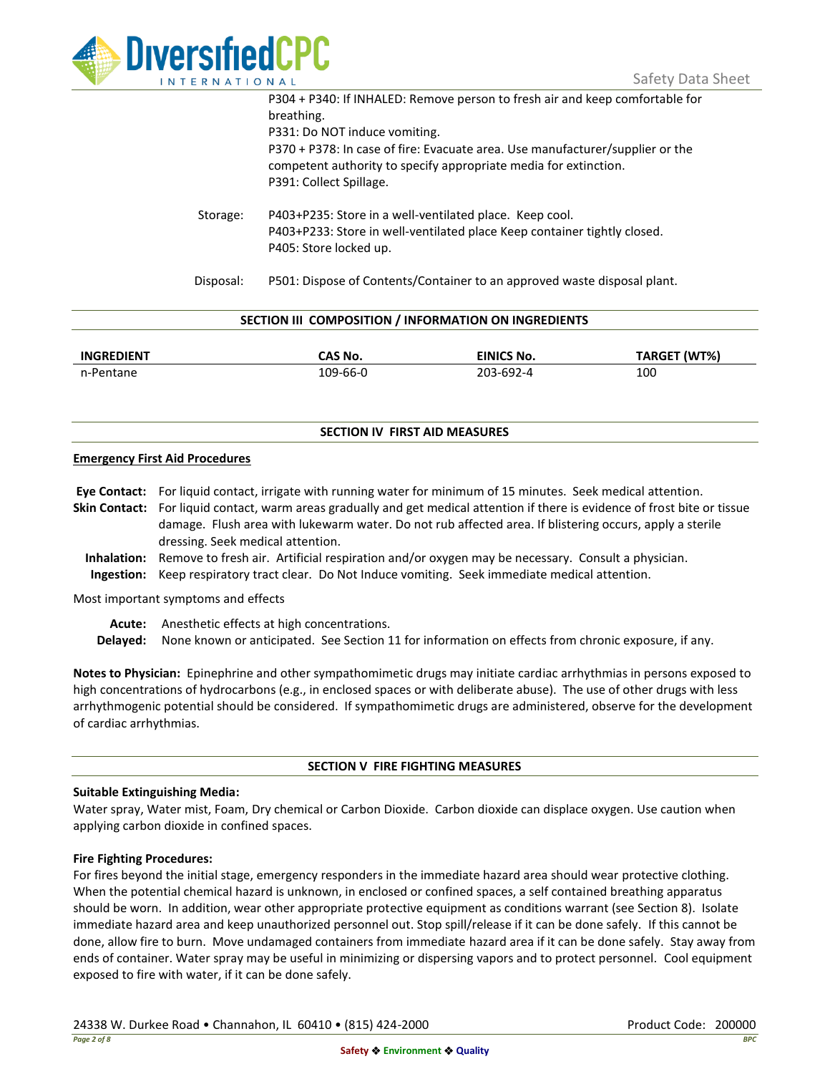

|           | P304 + P340: If INHALED: Remove person to fresh air and keep comfortable for<br>breathing.<br>P331: Do NOT induce vomiting.<br>P370 + P378: In case of fire: Evacuate area. Use manufacturer/supplier or the<br>competent authority to specify appropriate media for extinction.<br>P391: Collect Spillage. |
|-----------|-------------------------------------------------------------------------------------------------------------------------------------------------------------------------------------------------------------------------------------------------------------------------------------------------------------|
| Storage:  | P403+P235: Store in a well-ventilated place. Keep cool.<br>P403+P233: Store in well-ventilated place Keep container tightly closed.<br>P405: Store locked up.                                                                                                                                               |
| Disposal: | P501: Dispose of Contents/Container to an approved waste disposal plant.                                                                                                                                                                                                                                    |

|  |  | SECTION III COMPOSITION / INFORMATION ON INGREDIENTS |
|--|--|------------------------------------------------------|
|--|--|------------------------------------------------------|

| <b>INGREDIENT</b> | CAS No.  | <b>EINICS No.</b> | TARGET (WT%) |
|-------------------|----------|-------------------|--------------|
| n-Pentane         | 109-66-0 | 203-692-4         | 100          |

### **SECTION IV FIRST AID MEASURES**

### **Emergency First Aid Procedures**

**Eye Contact:** For liquid contact, irrigate with running water for minimum of 15 minutes. Seek medical attention. **Skin Contact:** For liquid contact, warm areas gradually and get medical attention if there is evidence of frost bite or tissue damage. Flush area with lukewarm water. Do not rub affected area. If blistering occurs, apply a sterile dressing. Seek medical attention. **Inhalation:** Remove to fresh air. Artificial respiration and/or oxygen may be necessary. Consult a physician.

**Ingestion:** Keep respiratory tract clear. Do Not Induce vomiting. Seek immediate medical attention.

Most important symptoms and effects

**Acute:** Anesthetic effects at high concentrations.

**Delayed:** None known or anticipated. See Section 11 for information on effects from chronic exposure, if any.

**Notes to Physician:** Epinephrine and other sympathomimetic drugs may initiate cardiac arrhythmias in persons exposed to high concentrations of hydrocarbons (e.g., in enclosed spaces or with deliberate abuse). The use of other drugs with less arrhythmogenic potential should be considered. If sympathomimetic drugs are administered, observe for the development of cardiac arrhythmias.

### **SECTION V FIRE FIGHTING MEASURES**

### **Suitable Extinguishing Media:**

Water spray, Water mist, Foam, Dry chemical or Carbon Dioxide. Carbon dioxide can displace oxygen. Use caution when applying carbon dioxide in confined spaces.

### **Fire Fighting Procedures:**

For fires beyond the initial stage, emergency responders in the immediate hazard area should wear protective clothing. When the potential chemical hazard is unknown, in enclosed or confined spaces, a self contained breathing apparatus should be worn. In addition, wear other appropriate protective equipment as conditions warrant (see Section 8). Isolate immediate hazard area and keep unauthorized personnel out. Stop spill/release if it can be done safely. If this cannot be done, allow fire to burn. Move undamaged containers from immediate hazard area if it can be done safely. Stay away from ends of container. Water spray may be useful in minimizing or dispersing vapors and to protect personnel. Cool equipment exposed to fire with water, if it can be done safely.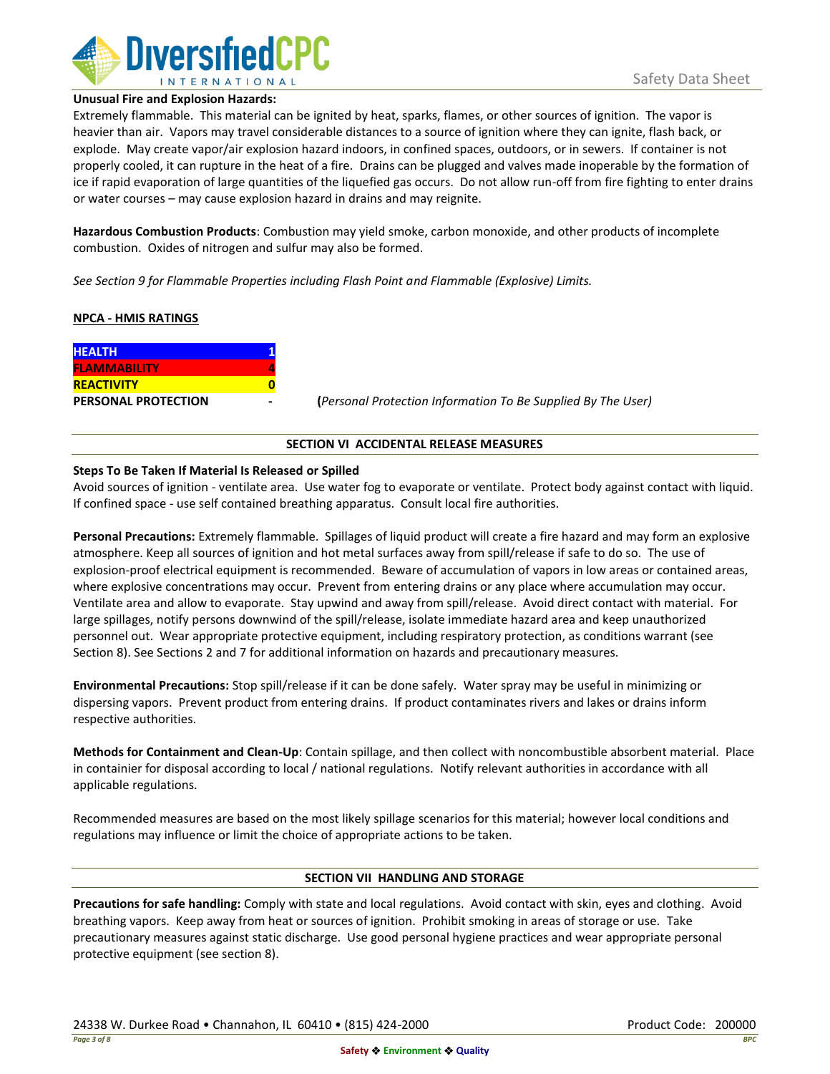

#### **Unusual Fire and Explosion Hazards:**

Extremely flammable. This material can be ignited by heat, sparks, flames, or other sources of ignition. The vapor is heavier than air. Vapors may travel considerable distances to a source of ignition where they can ignite, flash back, or explode. May create vapor/air explosion hazard indoors, in confined spaces, outdoors, or in sewers. If container is not properly cooled, it can rupture in the heat of a fire. Drains can be plugged and valves made inoperable by the formation of ice if rapid evaporation of large quantities of the liquefied gas occurs. Do not allow run-off from fire fighting to enter drains or water courses – may cause explosion hazard in drains and may reignite.

**Hazardous Combustion Products**: Combustion may yield smoke, carbon monoxide, and other products of incomplete combustion. Oxides of nitrogen and sulfur may also be formed.

*See Section 9 for Flammable Properties including Flash Point and Flammable (Explosive) Limits.*

### **NPCA - HMIS RATINGS**

| <b>HEALTH</b>              |  |
|----------------------------|--|
| <b>FLAMMABILITY</b>        |  |
| <b>REACTIVITY</b>          |  |
| <b>PERSONAL PROTECTION</b> |  |

**PERSONAL PROTECTION - (***Personal Protection Information To Be Supplied By The User)*

### **SECTION VI ACCIDENTAL RELEASE MEASURES**

### **Steps To Be Taken If Material Is Released or Spilled**

Avoid sources of ignition - ventilate area. Use water fog to evaporate or ventilate. Protect body against contact with liquid. If confined space - use self contained breathing apparatus. Consult local fire authorities.

**Personal Precautions:** Extremely flammable. Spillages of liquid product will create a fire hazard and may form an explosive atmosphere. Keep all sources of ignition and hot metal surfaces away from spill/release if safe to do so. The use of explosion-proof electrical equipment is recommended. Beware of accumulation of vapors in low areas or contained areas, where explosive concentrations may occur. Prevent from entering drains or any place where accumulation may occur. Ventilate area and allow to evaporate. Stay upwind and away from spill/release. Avoid direct contact with material. For large spillages, notify persons downwind of the spill/release, isolate immediate hazard area and keep unauthorized personnel out. Wear appropriate protective equipment, including respiratory protection, as conditions warrant (see Section 8). See Sections 2 and 7 for additional information on hazards and precautionary measures.

**Environmental Precautions:** Stop spill/release if it can be done safely. Water spray may be useful in minimizing or dispersing vapors. Prevent product from entering drains. If product contaminates rivers and lakes or drains inform respective authorities.

**Methods for Containment and Clean-Up**: Contain spillage, and then collect with noncombustible absorbent material. Place in containier for disposal according to local / national regulations. Notify relevant authorities in accordance with all applicable regulations.

Recommended measures are based on the most likely spillage scenarios for this material; however local conditions and regulations may influence or limit the choice of appropriate actions to be taken.

### **SECTION VII HANDLING AND STORAGE**

**Precautions for safe handling:** Comply with state and local regulations. Avoid contact with skin, eyes and clothing. Avoid breathing vapors. Keep away from heat or sources of ignition. Prohibit smoking in areas of storage or use. Take precautionary measures against static discharge. Use good personal hygiene practices and wear appropriate personal protective equipment (see section 8).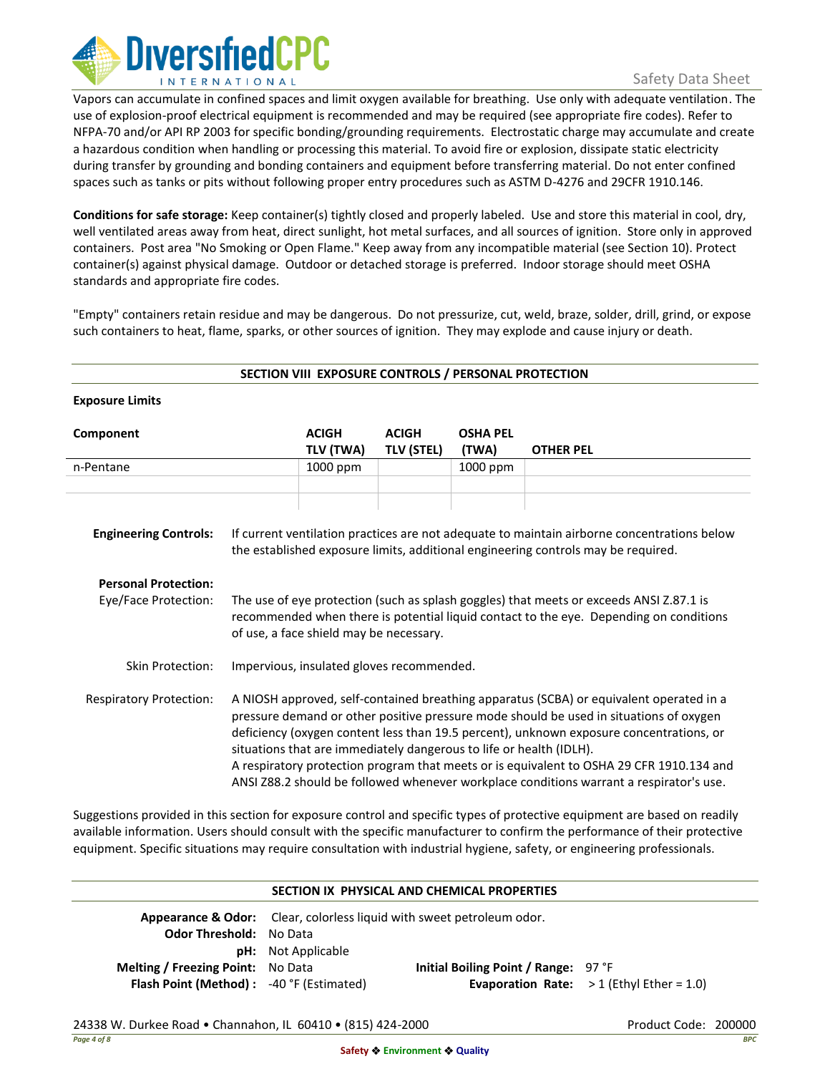

# Safety Data Sheet

Vapors can accumulate in confined spaces and limit oxygen available for breathing. Use only with adequate ventilation. The use of explosion-proof electrical equipment is recommended and may be required (see appropriate fire codes). Refer to NFPA-70 and/or API RP 2003 for specific bonding/grounding requirements. Electrostatic charge may accumulate and create a hazardous condition when handling or processing this material. To avoid fire or explosion, dissipate static electricity during transfer by grounding and bonding containers and equipment before transferring material. Do not enter confined spaces such as tanks or pits without following proper entry procedures such as ASTM D-4276 and 29CFR 1910.146.

**Conditions for safe storage:** Keep container(s) tightly closed and properly labeled. Use and store this material in cool, dry, well ventilated areas away from heat, direct sunlight, hot metal surfaces, and all sources of ignition. Store only in approved containers. Post area "No Smoking or Open Flame." Keep away from any incompatible material (see Section 10). Protect container(s) against physical damage. Outdoor or detached storage is preferred. Indoor storage should meet OSHA standards and appropriate fire codes.

"Empty" containers retain residue and may be dangerous. Do not pressurize, cut, weld, braze, solder, drill, grind, or expose such containers to heat, flame, sparks, or other sources of ignition. They may explode and cause injury or death.

| SECTION VIII EXPOSURE CONTROLS / PERSONAL PROTECTION                                |                                                                                                                                                                                                                                                                                                                                                                                                                                                 |                           |                                   |                          |                  |
|-------------------------------------------------------------------------------------|-------------------------------------------------------------------------------------------------------------------------------------------------------------------------------------------------------------------------------------------------------------------------------------------------------------------------------------------------------------------------------------------------------------------------------------------------|---------------------------|-----------------------------------|--------------------------|------------------|
| <b>Exposure Limits</b>                                                              |                                                                                                                                                                                                                                                                                                                                                                                                                                                 |                           |                                   |                          |                  |
| Component                                                                           |                                                                                                                                                                                                                                                                                                                                                                                                                                                 | <b>ACIGH</b><br>TLV (TWA) | <b>ACIGH</b><br><b>TLV (STEL)</b> | <b>OSHA PEL</b><br>(TWA) | <b>OTHER PEL</b> |
| n-Pentane                                                                           |                                                                                                                                                                                                                                                                                                                                                                                                                                                 | 1000 ppm                  |                                   | 1000 ppm                 |                  |
| <b>Engineering Controls:</b><br><b>Personal Protection:</b><br>Eye/Face Protection: | If current ventilation practices are not adequate to maintain airborne concentrations below<br>the established exposure limits, additional engineering controls may be required.<br>The use of eye protection (such as splash goggles) that meets or exceeds ANSI Z.87.1 is<br>recommended when there is potential liquid contact to the eye. Depending on conditions                                                                           |                           |                                   |                          |                  |
| <b>Skin Protection:</b><br><b>Respiratory Protection:</b>                           | of use, a face shield may be necessary.<br>Impervious, insulated gloves recommended.<br>A NIOSH approved, self-contained breathing apparatus (SCBA) or equivalent operated in a                                                                                                                                                                                                                                                                 |                           |                                   |                          |                  |
|                                                                                     | pressure demand or other positive pressure mode should be used in situations of oxygen<br>deficiency (oxygen content less than 19.5 percent), unknown exposure concentrations, or<br>situations that are immediately dangerous to life or health (IDLH).<br>A respiratory protection program that meets or is equivalent to OSHA 29 CFR 1910.134 and<br>ANSI Z88.2 should be followed whenever workplace conditions warrant a respirator's use. |                           |                                   |                          |                  |

Suggestions provided in this section for exposure control and specific types of protective equipment are based on readily available information. Users should consult with the specific manufacturer to confirm the performance of their protective equipment. Specific situations may require consultation with industrial hygiene, safety, or engineering professionals.

|                                          |                           | SECTION IX PHYSICAL AND CHEMICAL PROPERTIES                                      |                                                   |
|------------------------------------------|---------------------------|----------------------------------------------------------------------------------|---------------------------------------------------|
|                                          |                           | <b>Appearance &amp; Odor:</b> Clear, colorless liquid with sweet petroleum odor. |                                                   |
| <b>Odor Threshold: No Data</b>           |                           |                                                                                  |                                                   |
|                                          | <b>pH:</b> Not Applicable |                                                                                  |                                                   |
| <b>Melting / Freezing Point:</b> No Data |                           | Initial Boiling Point / Range: 97 °F                                             |                                                   |
| Flash Point (Method): -40 °F (Estimated) |                           |                                                                                  | <b>Evaporation Rate:</b> $>1$ (Ethyl Ether = 1.0) |

### 24338 W. Durkee Road • Channahon, IL 60410 • (815) 424-2000 Product Code: 200000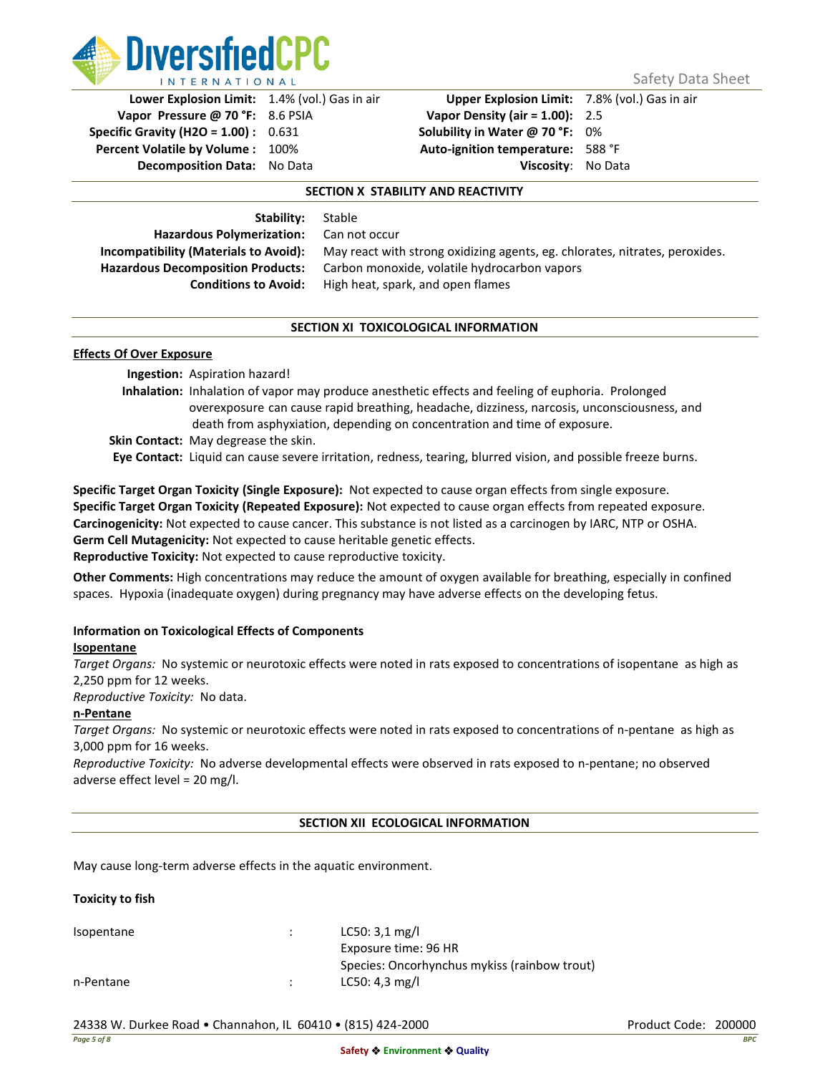

Safety Data Sheet

**Vapor Pressure @ 70 °F:** 8.6 PSIA **Vapor Density (air = 1.00):** 2.5 **Specific Gravity (H2O = 1.00) :** 0.631 **Solubility in Water @ 70 °F:** 0% **Percent Volatile by Volume :** 100% **Auto-ignition temperature:** 588 °F **Decomposition Data:** No Data **Viscosity**: No Data

**Lower Explosion Limit:** 1.4% (vol.) Gas in air **Upper Explosion Limit:** 7.8% (vol.) Gas in air

### **SECTION X STABILITY AND REACTIVITY**

**Stable** 

| Stability:                                   |  |  |
|----------------------------------------------|--|--|
| <b>Hazardous Polymerization:</b>             |  |  |
| <b>Incompatibility (Materials to Avoid):</b> |  |  |
| <b>Hazardous Decomposition Products:</b>     |  |  |
| <b>Conditions to Avoid:</b>                  |  |  |

**Can not occur** May react with strong oxidizing agents, eg. chlorates, nitrates, peroxides. **Hazardous Decomposition Products:** Carbon monoxide, volatile hydrocarbon vapors **Conditions to Avoid:** High heat, spark, and open flames

### **SECTION XI TOXICOLOGICAL INFORMATION**

### **Effects Of Over Exposure**

**Ingestion:** Aspiration hazard! **Inhalation:** Inhalation of vapor may produce anesthetic effects and feeling of euphoria. Prolonged overexposure can cause rapid breathing, headache, dizziness, narcosis, unconsciousness, and death from asphyxiation, depending on concentration and time of exposure. **Skin Contact:** May degrease the skin.

**Eye Contact:** Liquid can cause severe irritation, redness, tearing, blurred vision, and possible freeze burns.

**Specific Target Organ Toxicity (Single Exposure):** Not expected to cause organ effects from single exposure. **Specific Target Organ Toxicity (Repeated Exposure):** Not expected to cause organ effects from repeated exposure. **Carcinogenicity:** Not expected to cause cancer. This substance is not listed as a carcinogen by IARC, NTP or OSHA. **Germ Cell Mutagenicity:** Not expected to cause heritable genetic effects. **Reproductive Toxicity:** Not expected to cause reproductive toxicity.

**Other Comments:** High concentrations may reduce the amount of oxygen available for breathing, especially in confined spaces. Hypoxia (inadequate oxygen) during pregnancy may have adverse effects on the developing fetus.

### **Information on Toxicological Effects of Components**

### **Isopentane**

*Target Organs:* No systemic or neurotoxic effects were noted in rats exposed to concentrations of isopentane as high as 2,250 ppm for 12 weeks.

*Reproductive Toxicity:* No data.

### **n-Pentane**

*Target Organs:* No systemic or neurotoxic effects were noted in rats exposed to concentrations of n-pentane as high as 3,000 ppm for 16 weeks.

*Reproductive Toxicity:* No adverse developmental effects were observed in rats exposed to n-pentane; no observed adverse effect level = 20 mg/l.

### **SECTION XII ECOLOGICAL INFORMATION**

May cause long-term adverse effects in the aquatic environment.

### **Toxicity to fish**

Isopentane : LC50: 3,1 mg/l Exposure time: 96 HR Species: Oncorhynchus mykiss (rainbow trout) n-Pentane : LC50: 4,3 mg/l

24338 W. Durkee Road • Channahon, IL 60410 • (815) 424-2000 Product Code: 200000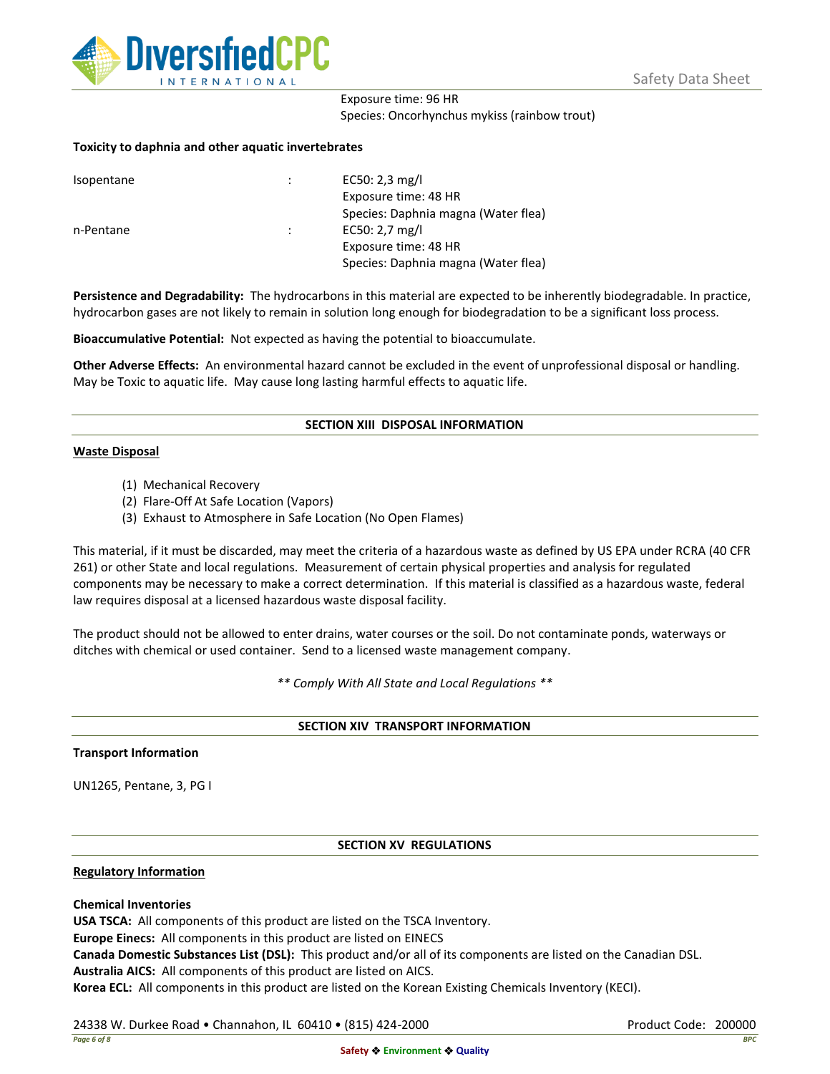

## Exposure time: 96 HR Species: Oncorhynchus mykiss (rainbow trout)

### **Toxicity to daphnia and other aquatic invertebrates**

| Isopentane |   | EC50: 2,3 mg/l                      |
|------------|---|-------------------------------------|
|            |   | Exposure time: 48 HR                |
|            |   | Species: Daphnia magna (Water flea) |
| n-Pentane  | ÷ | EC50: $2,7$ mg/l                    |
|            |   | Exposure time: 48 HR                |
|            |   | Species: Daphnia magna (Water flea) |

**Persistence and Degradability:** The hydrocarbons in this material are expected to be inherently biodegradable. In practice, hydrocarbon gases are not likely to remain in solution long enough for biodegradation to be a significant loss process.

**Bioaccumulative Potential:** Not expected as having the potential to bioaccumulate.

**Other Adverse Effects:** An environmental hazard cannot be excluded in the event of unprofessional disposal or handling. May be Toxic to aquatic life. May cause long lasting harmful effects to aquatic life.

### **SECTION XIII DISPOSAL INFORMATION**

### **Waste Disposal**

- (1) Mechanical Recovery
- (2) Flare-Off At Safe Location (Vapors)
- (3) Exhaust to Atmosphere in Safe Location (No Open Flames)

This material, if it must be discarded, may meet the criteria of a hazardous waste as defined by US EPA under RCRA (40 CFR 261) or other State and local regulations. Measurement of certain physical properties and analysis for regulated components may be necessary to make a correct determination. If this material is classified as a hazardous waste, federal law requires disposal at a licensed hazardous waste disposal facility.

The product should not be allowed to enter drains, water courses or the soil. Do not contaminate ponds, waterways or ditches with chemical or used container. Send to a licensed waste management company.

*\*\* Comply With All State and Local Regulations \*\**

### **SECTION XIV TRANSPORT INFORMATION**

### **Transport Information**

UN1265, Pentane, 3, PG I

### **SECTION XV REGULATIONS**

### **Regulatory Information**

### **Chemical Inventories**

**USA TSCA:** All components of this product are listed on the TSCA Inventory.

**Europe Einecs:** All components in this product are listed on EINECS

**Canada Domestic Substances List (DSL):** This product and/or all of its components are listed on the Canadian DSL.

**Australia AICS:** All components of this product are listed on AICS.

**Korea ECL:** All components in this product are listed on the Korean Existing Chemicals Inventory (KECI).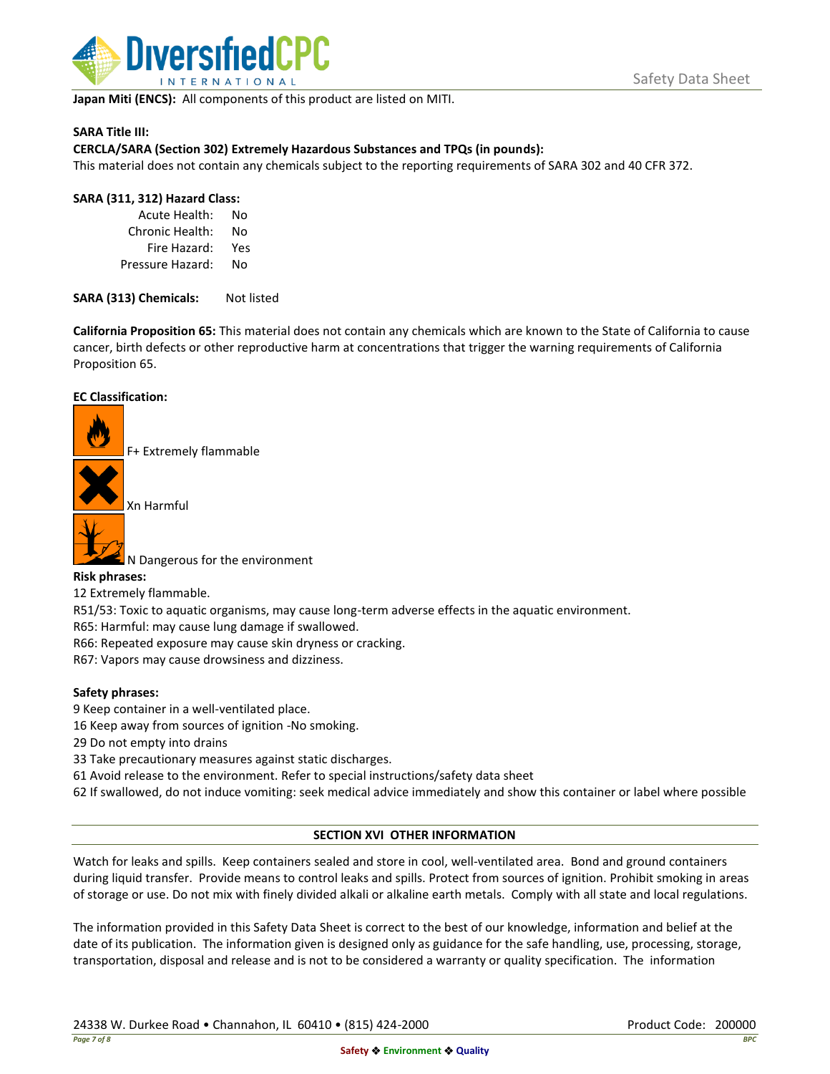

**Japan Miti (ENCS):** All components of this product are listed on MITI.

### **SARA Title III:**

### **CERCLA/SARA (Section 302) Extremely Hazardous Substances and TPQs (in pounds):**

This material does not contain any chemicals subject to the reporting requirements of SARA 302 and 40 CFR 372.

### **SARA (311, 312) Hazard Class:**

Acute Health: No Chronic Health: No Fire Hazard: Yes Pressure Hazard: No

SARA (313) Chemicals: Not listed

**California Proposition 65:** This material does not contain any chemicals which are known to the State of California to cause cancer, birth defects or other reproductive harm at concentrations that trigger the warning requirements of California Proposition 65.

### **EC Classification:**

F+ Extremely flammable

Xn Harmful



N Dangerous for the environment

### **Risk phrases:**

12 Extremely flammable.

R51/53: Toxic to aquatic organisms, may cause long-term adverse effects in the aquatic environment.

R65: Harmful: may cause lung damage if swallowed.

R66: Repeated exposure may cause skin dryness or cracking.

R67: Vapors may cause drowsiness and dizziness.

### **Safety phrases:**

- 9 Keep container in a well-ventilated place.
- 16 Keep away from sources of ignition -No smoking.
- 29 Do not empty into drains
- 33 Take precautionary measures against static discharges.
- 61 Avoid release to the environment. Refer to special instructions/safety data sheet
- 62 If swallowed, do not induce vomiting: seek medical advice immediately and show this container or label where possible

### **SECTION XVI OTHER INFORMATION**

Watch for leaks and spills. Keep containers sealed and store in cool, well-ventilated area. Bond and ground containers during liquid transfer. Provide means to control leaks and spills. Protect from sources of ignition. Prohibit smoking in areas of storage or use. Do not mix with finely divided alkali or alkaline earth metals. Comply with all state and local regulations.

The information provided in this Safety Data Sheet is correct to the best of our knowledge, information and belief at the date of its publication. The information given is designed only as guidance for the safe handling, use, processing, storage, transportation, disposal and release and is not to be considered a warranty or quality specification. The information